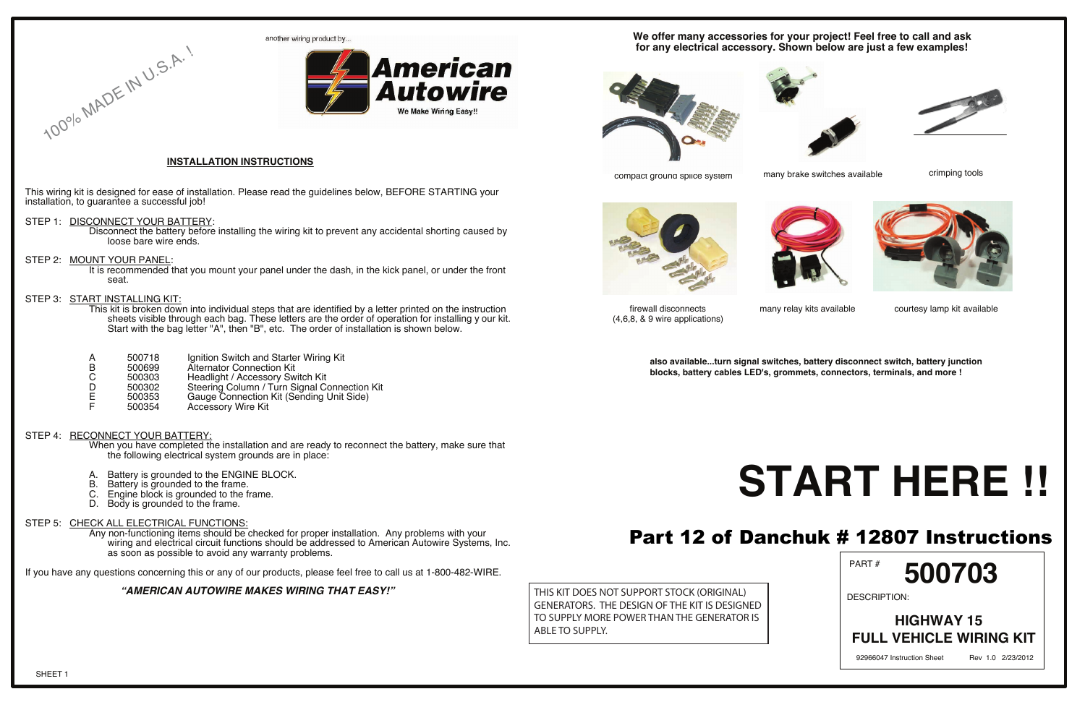This wiring kit is designed for ease of installation. Please read the guidelines below, BEFORE STARTING your installation, to guarantee a successful job!

STEP 1: DISCONNECT YOUR BATTERY:

100% MADE IN U.S.A. !

This kit is broken down into individual steps that are identified by a letter printed on the instruction sheets visible through each bag. These letters are the order of operation for installing y our kit. Start with the bag letter "A", then "B", etc. The order of installation is shown below.

- A 500718 Ignition Switch and Starter Wiring Kit<br>B 500699 Alternator Connection Kit<br>C 500303 Headlight / Accessory Switch Kit
- 500699 Alternator Connection Kit<br>500303 Headlight / Accessory Sw
- C 500303 Headlight / Accessory Switch Kit<br>D 500302 Steering Column / Turn Signal C
- D 500302 Steering Column / Turn Signal Connection Kit<br>E 500353 Gauge Connection Kit (Sending Unit Side)
- E 500353 Gauge Connection Kit (Sending Unit Side)<br>F 500354 Accessory Wire Kit
- Accessory Wire Kit

#### STEP 4: RECONNECT YOUR BATTERY:

- Disconnect the battery before installing the wiring kit to prevent any accidental shorting caused by loose bare wire ends.
- STEP 2: MOUNT YOUR PANEL:

It is recommended that you mount your panel under the dash, in the kick panel, or under the front seat.

#### STEP 3: START INSTALLING KIT:

When you have completed the installation and are ready to reconnect the battery, make sure that the following electrical system grounds are in place:

- A. Battery is grounded to the ENGINE BLOCK.<br>B. Battery is grounded to the frame.
- B. Battery is grounded to the frame.<br>C. Engine block is grounded to the fi
- C. Engine block is grounded to the frame.<br>D. Body is grounded to the frame.
- Body is grounded to the frame.

#### STEP 5: CHECK ALL ELECTRICAL FUNCTIONS:

Any non-functioning items should be checked for proper installation. Any problems with your wiring and electrical circuit functions should be addressed to American Autowire Systems, Inc. as soon as possible to avoid any warranty problems.

If you have any questions concerning this or any of our products, please feel free to call us at 1-800-482-WIRE.

#### **"AMERICAN AUTOWIRE MAKES WIRING THAT EASY!"**





#### **INSTALLATION INSTRUCTIONS**

#### **We offer many accessories for your project! Feel free to call and ask for any electrical accessory. Shown below are just a few examples!**



compact ground splice system many brake switches available





 firewall disconnects (4,6,8, & 9 wire applications)

many relay kits available



**also available...turn signal switches, battery disconnect switch, battery junction blocks, battery cables LED's, grommets, connectors, terminals, and more !**

# **START HERE !!** Part 12 of Danchuk # 12807 Instructions

courtesy lamp kit available

crimping tools







THIS KIT DOES NOT SUPPORT STOCK (ORIGINAL) GENERATORS. THE DESIGN OF THE KIT IS DESIGNED TO SUPPLY MORE POWER THAN THE GENERATOR IS ABLE TO SUPPLY.

PART #

DESCRIPTION:

**500703**

### **HIGHWAY 15 FULL VEHICLE WIRING KIT**

92966047 Instruction Sheet Rev 1.0 2/23/2012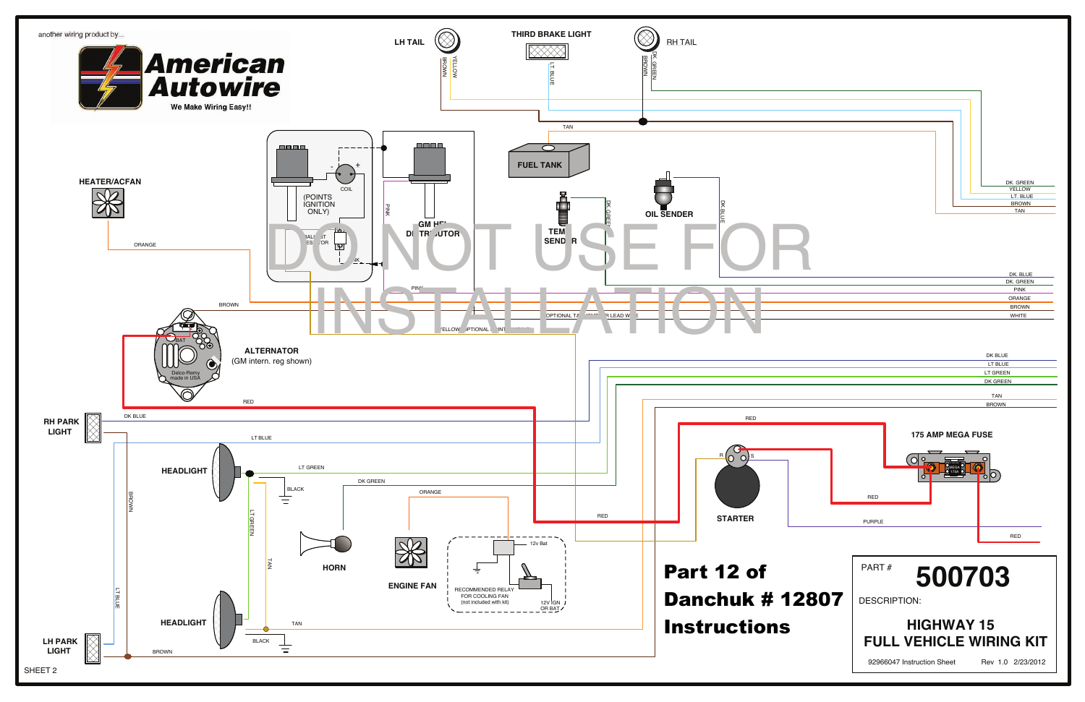

| DK. BLUE     |
|--------------|
| DK. GREEN    |
| <b>PINK</b>  |
| ORANGE       |
| <b>BROWN</b> |
| <b>WHITE</b> |
|              |

| DK BLUE         |
|-----------------|
| LT BLUE         |
| <b>LT GREEN</b> |
| DK GREEN        |
|                 |
| <b>TAN</b>      |
| <b>BROWN</b>    |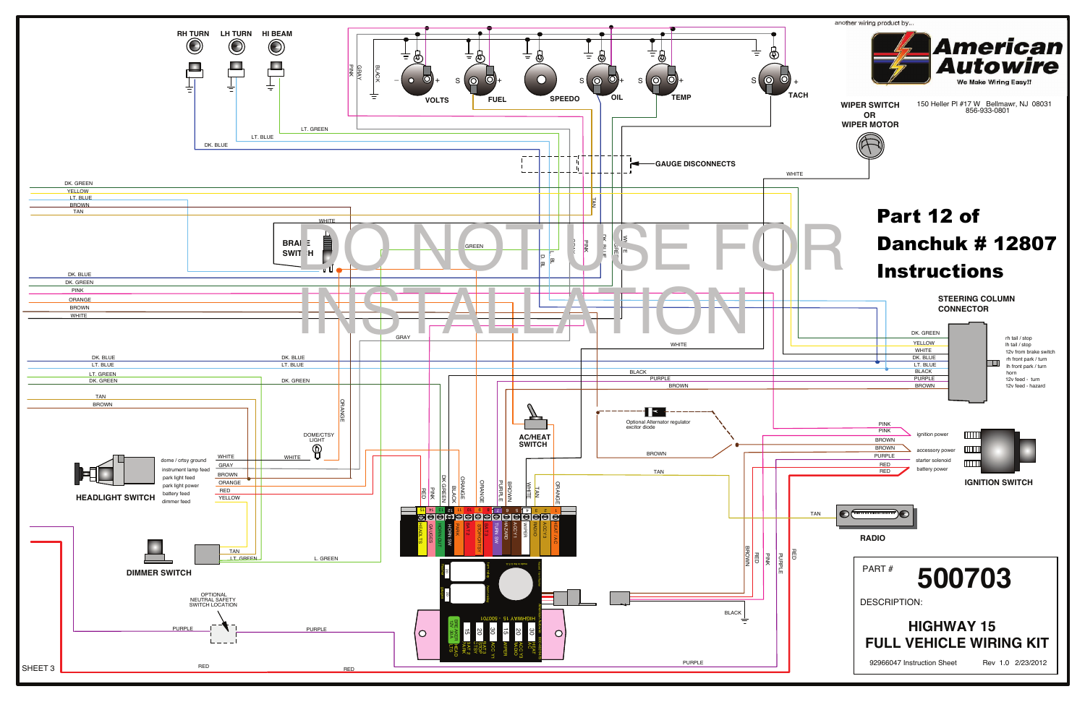